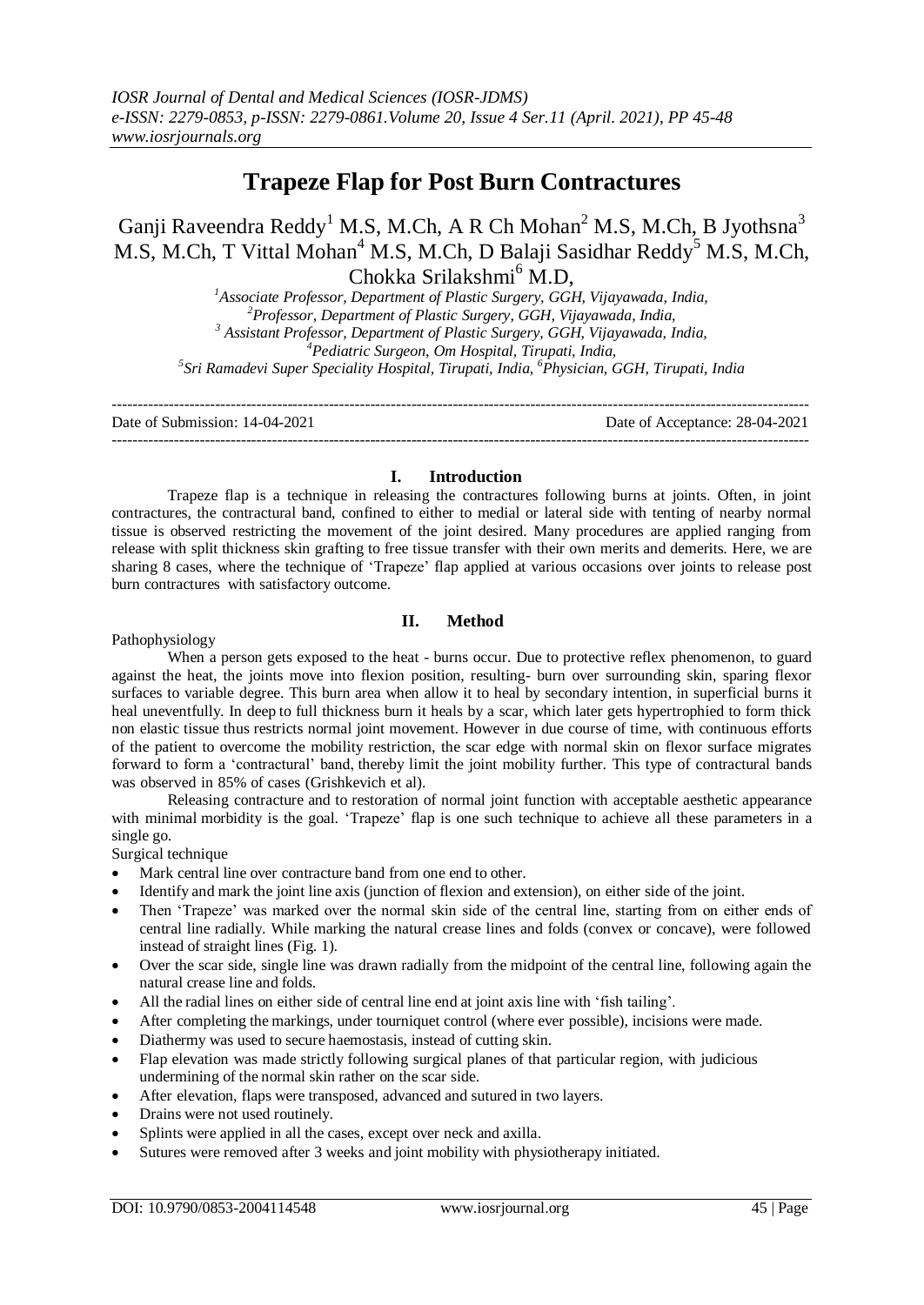# **Trapeze Flap for Post Burn Contractures**

Ganji Raveendra Reddy<sup>1</sup> M.S, M.Ch, A R Ch Mohan<sup>2</sup> M.S, M.Ch, B Jyothsna<sup>3</sup> M.S, M.Ch, T Vittal Mohan<sup>4</sup> M.S, M.Ch, D Balaji Sasidhar Reddy<sup>5</sup> M.S, M.Ch, Chokka Srilakshmi<sup>6</sup> M.D,

*Associate Professor, Department of Plastic Surgery, GGH, Vijayawada, India, Professor, Department of Plastic Surgery, GGH, Vijayawada, India, Assistant Professor, Department of Plastic Surgery, GGH, Vijayawada, India, Pediatric Surgeon, Om Hospital, Tirupati, India, Sri Ramadevi Super Speciality Hospital, Tirupati, India, <sup>6</sup>Physician, GGH, Tirupati, India*

--------------------------------------------------------------------------------------------------------------------------------------- Date of Submission: 14-04-2021 Date of Acceptance: 28-04-2021 ---------------------------------------------------------------------------------------------------------------------------------------

### **I. Introduction**

Trapeze flap is a technique in releasing the contractures following burns at joints. Often, in joint contractures, the contractural band, confined to either to medial or lateral side with tenting of nearby normal tissue is observed restricting the movement of the joint desired. Many procedures are applied ranging from release with split thickness skin grafting to free tissue transfer with their own merits and demerits. Here, we are sharing 8 cases, where the technique of 'Trapeze' flap applied at various occasions over joints to release post burn contractures with satisfactory outcome.

# **II. Method**

### Pathophysiology

When a person gets exposed to the heat - burns occur. Due to protective reflex phenomenon, to guard against the heat, the joints move into flexion position, resulting- burn over surrounding skin, sparing flexor surfaces to variable degree. This burn area when allow it to heal by secondary intention, in superficial burns it heal uneventfully. In deep to full thickness burn it heals by a scar, which later gets hypertrophied to form thick non elastic tissue thus restricts normal joint movement. However in due course of time, with continuous efforts of the patient to overcome the mobility restriction, the scar edge with normal skin on flexor surface migrates forward to form a 'contractural' band, thereby limit the joint mobility further. This type of contractural bands was observed in 85% of cases (Grishkevich et al).

Releasing contracture and to restoration of normal joint function with acceptable aesthetic appearance with minimal morbidity is the goal. 'Trapeze' flap is one such technique to achieve all these parameters in a single go.

Surgical technique

- Mark central line over contracture band from one end to other.
- Identify and mark the joint line axis (junction of flexion and extension), on either side of the joint.
- Then 'Trapeze' was marked over the normal skin side of the central line, starting from on either ends of central line radially. While marking the natural crease lines and folds (convex or concave), were followed instead of straight lines (Fig. 1).
- Over the scar side, single line was drawn radially from the midpoint of the central line, following again the natural crease line and folds.
- All the radial lines on either side of central line end at joint axis line with 'fish tailing'.
- After completing the markings, under tourniquet control (where ever possible), incisions were made.
- Diathermy was used to secure haemostasis, instead of cutting skin.
- Flap elevation was made strictly following surgical planes of that particular region, with judicious undermining of the normal skin rather on the scar side.
- After elevation, flaps were transposed, advanced and sutured in two layers.
- Drains were not used routinely.
- Splints were applied in all the cases, except over neck and axilla.
- Sutures were removed after 3 weeks and joint mobility with physiotherapy initiated.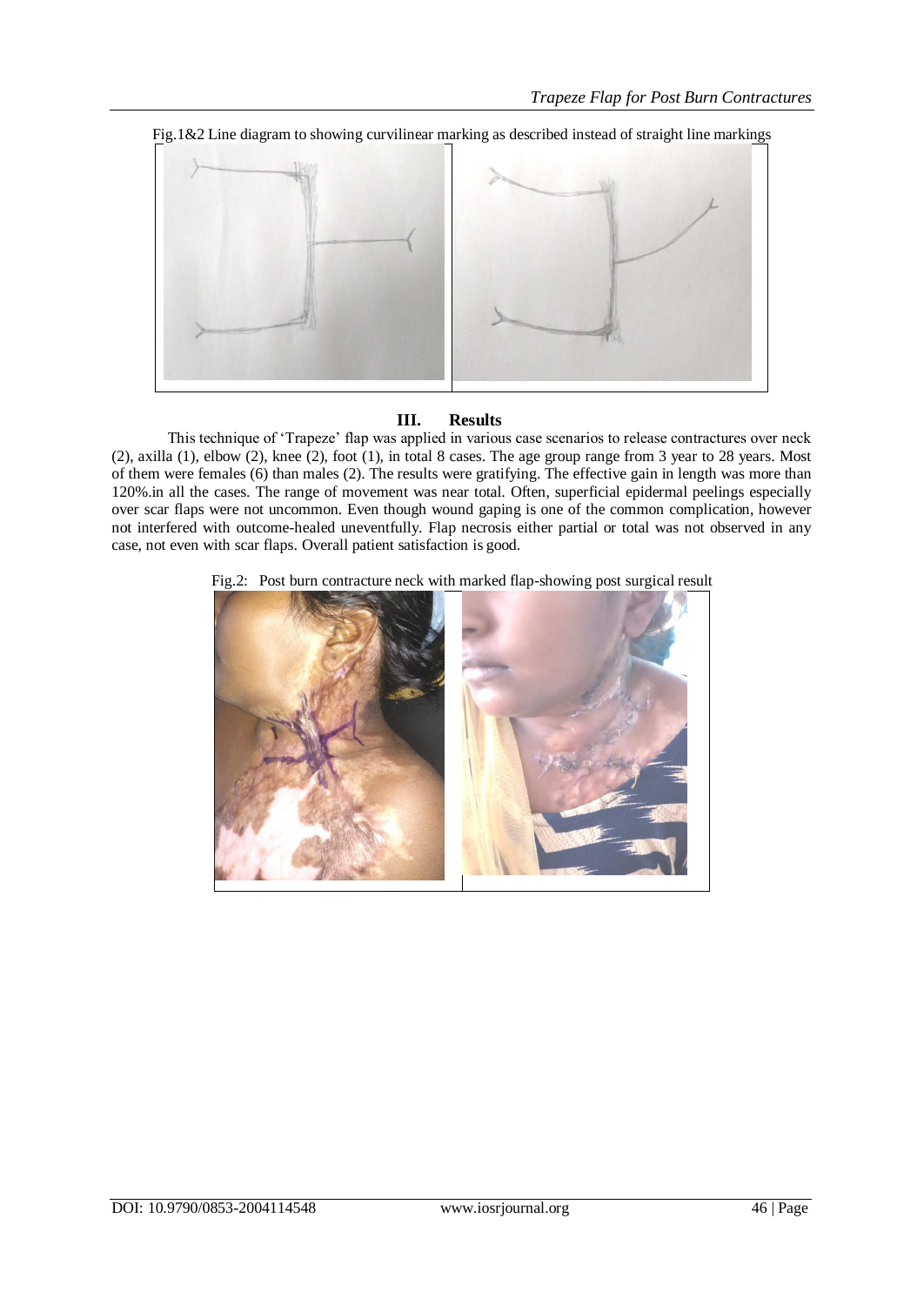

# **III. Results**

This technique of 'Trapeze' flap was applied in various case scenarios to release contractures over neck (2), axilla (1), elbow (2), knee (2), foot (1), in total 8 cases. The age group range from 3 year to 28 years. Most of them were females (6) than males (2). The results were gratifying. The effective gain in length was more than 120%.in all the cases. The range of movement was near total. Often, superficial epidermal peelings especially over scar flaps were not uncommon. Even though wound gaping is one of the common complication, however not interfered with outcome-healed uneventfully. Flap necrosis either partial or total was not observed in any case, not even with scar flaps. Overall patient satisfaction is good.

## Fig.2: Post burn contracture neck with marked flap-showing post surgical result

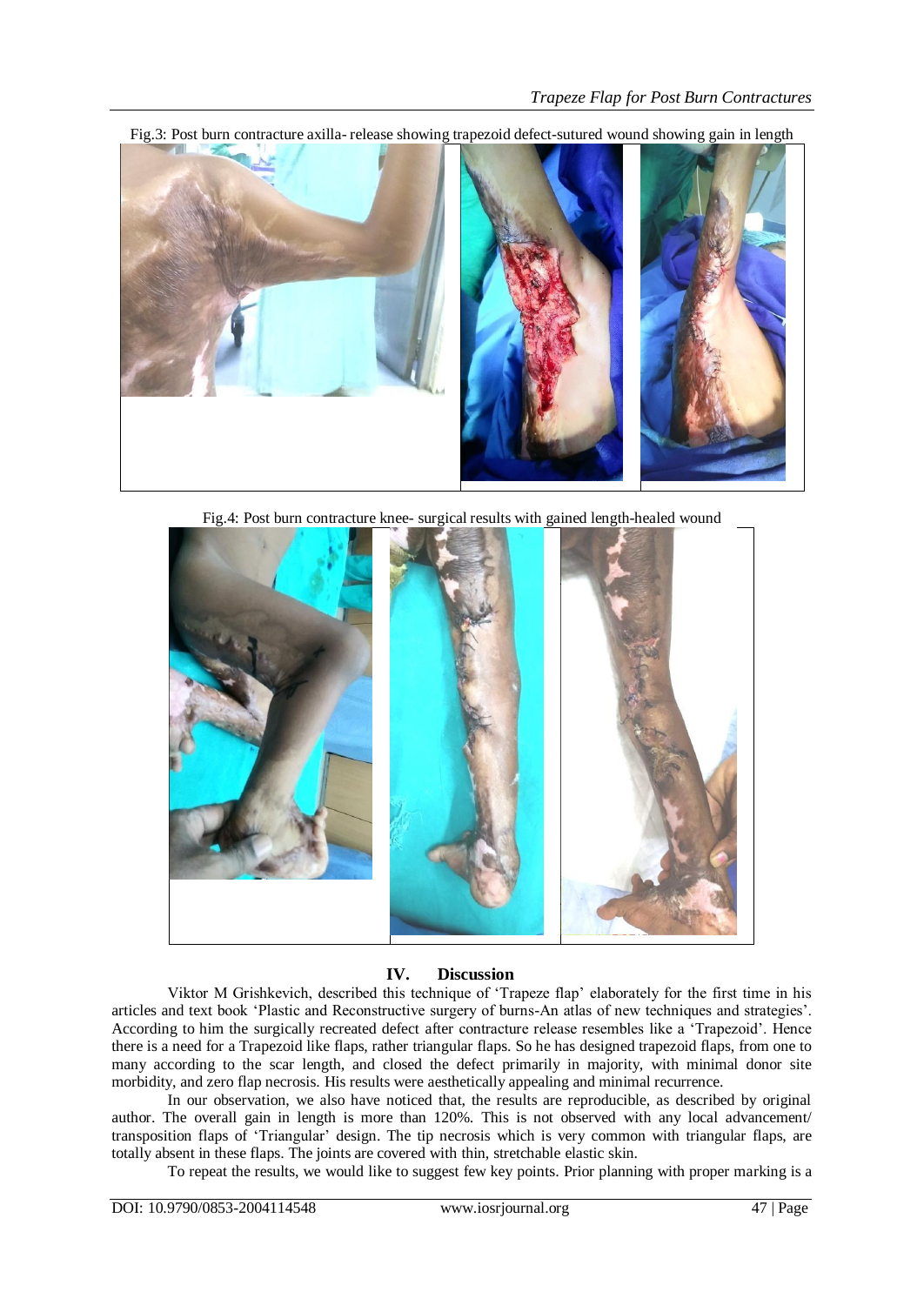Fig.3: Post burn contracture axilla- release showing trapezoid defect-sutured wound showing gain in length



Fig.4: Post burn contracture knee- surgical results with gained length-healed wound



## **IV. Discussion**

Viktor M Grishkevich, described this technique of 'Trapeze flap' elaborately for the first time in his articles and text book 'Plastic and Reconstructive surgery of burns-An atlas of new techniques and strategies'. According to him the surgically recreated defect after contracture release resembles like a 'Trapezoid'. Hence there is a need for a Trapezoid like flaps, rather triangular flaps. So he has designed trapezoid flaps, from one to many according to the scar length, and closed the defect primarily in majority, with minimal donor site morbidity, and zero flap necrosis. His results were aesthetically appealing and minimal recurrence.

In our observation, we also have noticed that, the results are reproducible, as described by original author. The overall gain in length is more than 120%. This is not observed with any local advancement/ transposition flaps of 'Triangular' design. The tip necrosis which is very common with triangular flaps, are totally absent in these flaps. The joints are covered with thin, stretchable elastic skin.

To repeat the results, we would like to suggest few key points. Prior planning with proper marking is a